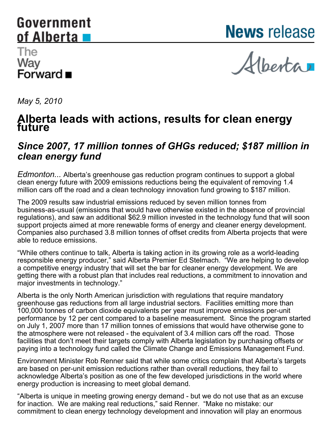# <span id="page-0-0"></span>Government of Alberta

**News** release

## The Way ⊷ີ∽<br>Forward ∎

Alberta

*May 5, 2010*

# **Alberta leads with actions, results for clean energy future**

### *Since 2007, 17 million tonnes of GHGs reduced; \$187 million in clean energy fund*

*Edmonton...* Alberta's greenhouse gas reduction program continues to support a global clean energy future with 2009 emissions reductions being the equivalent of removing 1.4 million cars off the road and a clean technology innovation fund growing to \$187 million.

The 2009 results saw industrial emissions reduced by seven million tonnes from business-as-usual (emissions that would have otherwise existed in the absence of provincial regulations), and saw an additional \$62.9 million invested in the technology fund that will soon support projects aimed at more renewable forms of energy and cleaner energy development. Companies also purchased 3.8 million tonnes of offset credits from Alberta projects that were able to reduce emissions.

"While others continue to talk, Alberta is taking action in its growing role as a world-leading responsible energy producer," said Alberta Premier Ed Stelmach. "We are helping to develop a competitive energy industry that will set the bar for cleaner energy development. We are getting there with a robust plan that includes real reductions, a commitment to innovation and major investments in technology."

Alberta is the only North American jurisdiction with regulations that require mandatory greenhouse gas reductions from all large industrial sectors. Facilities emitting more than 100,000 tonnes of carbon dioxide equivalents per year must improve emissions per-unit performance by 12 per cent compared to a baseline measurement. Since the program started on July 1, 2007 more than 17 million tonnes of emissions that would have otherwise gone to the atmosphere were not released - the equivalent of 3.4 million cars off the road. Those facilities that don't meet their targets comply with Alberta legislation by purchasing offsets or paying into a technology fund called the Climate Change and Emissions Management Fund.

Environment Minister Rob Renner said that while some critics complain that Alberta's targets are based on per-unit emission reductions rather than overall reductions, they fail to acknowledge Alberta's position as one of the few developed jurisdictions in the world where energy production is increasing to meet global demand.

"Alberta is unique in meeting growing energy demand - but we do not use that as an excuse for inaction. We are making real reductions," said Renner. "Make no mistake: our commitment to clean energy technology development and innovation will play an enormous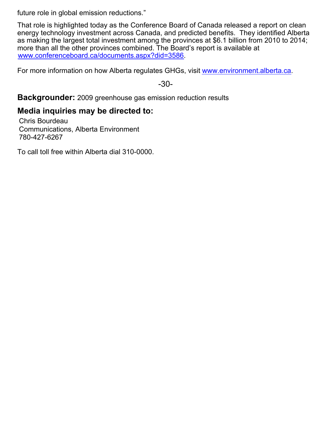future role in global emission reductions."

That role is highlighted today as the Conference Board of Canada released a report on clean energy technology investment across Canada, and predicted benefits. They identified Alberta as making the largest total investment among the provinces at \$6.1 billion from 2010 to 2014; more than all the other provinces combined. The Board's report is available at [www.conferenceboard.ca/documents.aspx?did=3586](http://www.conferenceboard.ca/documents.aspx?did=3586).

For more information on how Alberta regulates GHGs, visit [www.environment.alberta.ca](http://www.environment.alberta.ca/).

-30-

**Backgrounder:** 2009 greenhouse gas emission reduction results

#### **Media inquiries may be directed to:**

Chris Bourdeau Communications, Alberta Environment 780-427-6267

To call toll free within Alberta dial 310-0000.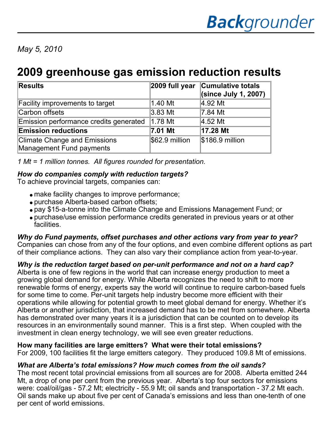*May 5, 2010*

## **2009 greenhouse gas emission reduction results**

| <b>Results</b>                         | $ 2009$ full year              | <b>Cumulative totals</b><br>(since July 1, 2007) |
|----------------------------------------|--------------------------------|--------------------------------------------------|
| Facility improvements to target        | 1.40 Mt                        | 4.92 Mt                                          |
| Carbon offsets                         | 3.83 Mt                        | 7.84 Mt                                          |
| Emission performance credits generated | $\vert 1.78 \mathrm{M}t \vert$ | 4.52 Mt                                          |
| <b>Emission reductions</b>             | 7.01 Mt                        | 17.28 Mt                                         |
| <b>Climate Change and Emissions</b>    | $$62.9$ million                | $$186.9$ million                                 |
| Management Fund payments               |                                |                                                  |

*1 Mt = 1 million tonnes. All figures rounded for presentation.*

#### *How do companies comply with reduction targets?*

To achieve provincial targets, companies can:

- make facility changes to improve performance;
- purchase Alberta-based carbon offsets;
- pay \$15-a-tonne into the Climate Change and Emissions Management Fund; or
- purchase/use emission performance credits generated in previous years or at other facilities.

*Why do Fund payments, offset purchases and other actions vary from year to year?* Companies can chose from any of the four options, and even combine different options as part of their compliance actions. They can also vary their compliance action from year-to-year.

#### *Why is the reduction target based on per-unit performance and not on a hard cap?*

Alberta is one of few regions in the world that can increase energy production to meet a growing global demand for energy. While Alberta recognizes the need to shift to more renewable forms of energy, experts say the world will continue to require carbon-based fuels for some time to come. Per-unit targets help industry become more efficient with their operations while allowing for potential growth to meet global demand for energy. Whether it's Alberta or another jurisdiction, that increased demand has to be met from somewhere. Alberta has demonstrated over many years it is a jurisdiction that can be counted on to develop its resources in an environmentally sound manner. This is a first step. When coupled with the investment in clean energy technology, we will see even greater reductions.

#### **How many facilities are large emitters? What were their total emissions?**

For 2009, 100 facilities fit the large emitters category. They produced 109.8 Mt of emissions.

#### *What are Alberta's total emissions? How much comes from the oil sands?*

The most recent total provincial emissions from all sources are for 2008. Alberta emitted 244 Mt, a drop of one per cent from the previous year. Alberta's top four sectors for emissions were: coal/oil/gas - 57.2 Mt; electricity - 55.9 Mt; oil sands and transportation - 37.2 Mt each. Oil sands make up about five per cent of Canada's emissions and less than one-tenth of one per cent of world emissions.